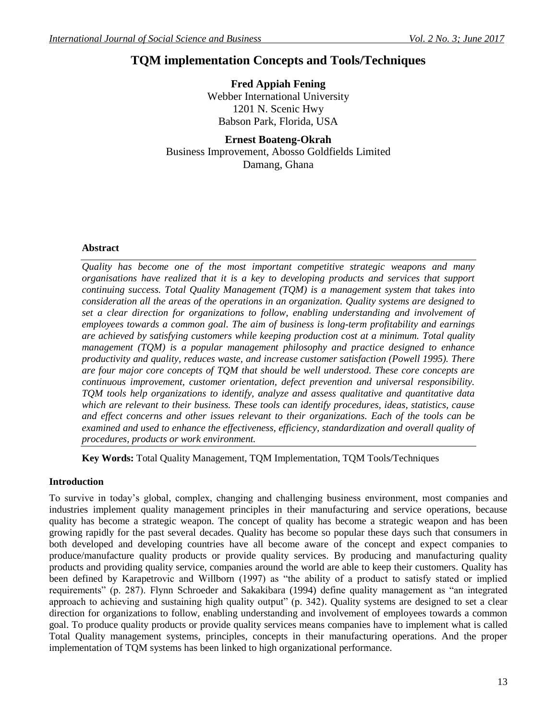# **TQM implementation Concepts and Tools/Techniques**

**Fred Appiah Fening** Webber International University 1201 N. Scenic Hwy Babson Park, Florida, USA

**Ernest Boateng-Okrah** Business Improvement, Abosso Goldfields Limited Damang, Ghana

#### **Abstract**

*Quality has become one of the most important competitive strategic weapons and many organisations have realized that it is a key to developing products and services that support continuing success. Total Quality Management (TQM) is a management system that takes into consideration all the areas of the operations in an organization. Quality systems are designed to set a clear direction for organizations to follow, enabling understanding and involvement of employees towards a common goal. The aim of business is long-term profitability and earnings are achieved by satisfying customers while keeping production cost at a minimum. Total quality management (TQM) is a popular management philosophy and practice designed to enhance productivity and quality, reduces waste, and increase customer satisfaction (Powell 1995). There are four major core concepts of TQM that should be well understood. These core concepts are continuous improvement, customer orientation, defect prevention and universal responsibility. TQM tools help organizations to identify, analyze and assess qualitative and quantitative data which are relevant to their business. These tools can identify procedures, ideas, statistics, cause and effect concerns and other issues relevant to their organizations. Each of the tools can be examined and used to enhance the effectiveness, efficiency, standardization and overall quality of procedures, products or work environment.* 

**Key Words:** Total Quality Management, TQM Implementation, TQM Tools/Techniques

# **Introduction**

To survive in today's global, complex, changing and challenging business environment, most companies and industries implement quality management principles in their manufacturing and service operations, because quality has become a strategic weapon. The concept of quality has become a strategic weapon and has been growing rapidly for the past several decades. Quality has become so popular these days such that consumers in both developed and developing countries have all become aware of the concept and expect companies to produce/manufacture quality products or provide quality services. By producing and manufacturing quality products and providing quality service, companies around the world are able to keep their customers. Quality has been defined by Karapetrovic and Willborn (1997) as "the ability of a product to satisfy stated or implied requirements" (p. 287). Flynn Schroeder and Sakakibara (1994) define quality management as "an integrated approach to achieving and sustaining high quality output" (p. 342). Quality systems are designed to set a clear direction for organizations to follow, enabling understanding and involvement of employees towards a common goal. To produce quality products or provide quality services means companies have to implement what is called Total Quality management systems, principles, concepts in their manufacturing operations. And the proper implementation of TQM systems has been linked to high organizational performance.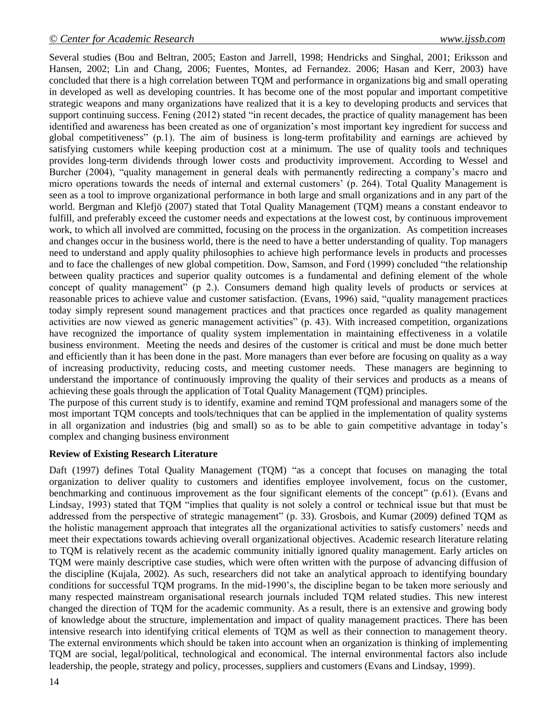Several studies (Bou and Beltran, 2005; Easton and Jarrell, 1998; Hendricks and Singhal, 2001; Eriksson and Hansen, 2002; Lin and Chang, 2006; Fuentes, Montes, ad Fernandez. 2006; Hasan and Kerr, 2003) have concluded that there is a high correlation between TQM and performance in organizations big and small operating in developed as well as developing countries. It has become one of the most popular and important competitive strategic weapons and many organizations have realized that it is a key to developing products and services that support continuing success. Fening (2012) stated "in recent decades, the practice of quality management has been identified and awareness has been created as one of organization's most important key ingredient for success and global competitiveness" (p.1). The aim of business is long-term profitability and earnings are achieved by satisfying customers while keeping production cost at a minimum. The use of quality tools and techniques provides long-term dividends through lower costs and productivity improvement. According to Wessel and Burcher (2004), "quality management in general deals with permanently redirecting a company's macro and micro operations towards the needs of internal and external customers' (p. 264). Total Quality Management is seen as a tool to improve organizational performance in both large and small organizations and in any part of the world. Bergman and Klefjö (2007) stated that Total Quality Management (TQM) means a constant endeavor to fulfill, and preferably exceed the customer needs and expectations at the lowest cost, by continuous improvement work, to which all involved are committed, focusing on the process in the organization. As competition increases and changes occur in the business world, there is the need to have a better understanding of quality. Top managers need to understand and apply quality philosophies to achieve high performance levels in products and processes and to face the challenges of new global competition. Dow, Samson, and Ford (1999) concluded "the relationship between quality practices and superior quality outcomes is a fundamental and defining element of the whole concept of quality management" (p 2.). Consumers demand high quality levels of products or services at reasonable prices to achieve value and customer satisfaction. (Evans, 1996) said, "quality management practices today simply represent sound management practices and that practices once regarded as quality management activities are now viewed as generic management activities" (p. 43). With increased competition, organizations have recognized the importance of quality system implementation in maintaining effectiveness in a volatile business environment. Meeting the needs and desires of the customer is critical and must be done much better and efficiently than it has been done in the past. More managers than ever before are focusing on quality as a way of increasing productivity, reducing costs, and meeting customer needs. These managers are beginning to understand the importance of continuously improving the quality of their services and products as a means of achieving these goals through the application of Total Quality Management (TQM) principles.

The purpose of this current study is to identify, examine and remind TQM professional and managers some of the most important TQM concepts and tools/techniques that can be applied in the implementation of quality systems in all organization and industries (big and small) so as to be able to gain competitive advantage in today's complex and changing business environment

# **Review of Existing Research Literature**

Daft (1997) defines Total Quality Management (TQM) "as a concept that focuses on managing the total organization to deliver quality to customers and identifies employee involvement, focus on the customer, benchmarking and continuous improvement as the four significant elements of the concept" (p.61). (Evans and Lindsay, 1993) stated that TQM "implies that quality is not solely a control or technical issue but that must be addressed from the perspective of strategic management" (p. 33). Grosbois, and Kumar (2009) defined TQM as the holistic management approach that integrates all the organizational activities to satisfy customers' needs and meet their expectations towards achieving overall organizational objectives. Academic research literature relating to TQM is relatively recent as the academic community initially ignored quality management. Early articles on TQM were mainly descriptive case studies, which were often written with the purpose of advancing diffusion of the discipline (Kujala, 2002). As such, researchers did not take an analytical approach to identifying boundary conditions for successful TQM programs. In the mid-1990's, the discipline began to be taken more seriously and many respected mainstream organisational research journals included TQM related studies. This new interest changed the direction of TQM for the academic community. As a result, there is an extensive and growing body of knowledge about the structure, implementation and impact of quality management practices. There has been intensive research into identifying critical elements of TQM as well as their connection to management theory. The external environments which should be taken into account when an organization is thinking of implementing TQM are social, legal/political, technological and economical. The internal environmental factors also include leadership, the people, strategy and policy, processes, suppliers and customers (Evans and Lindsay, 1999).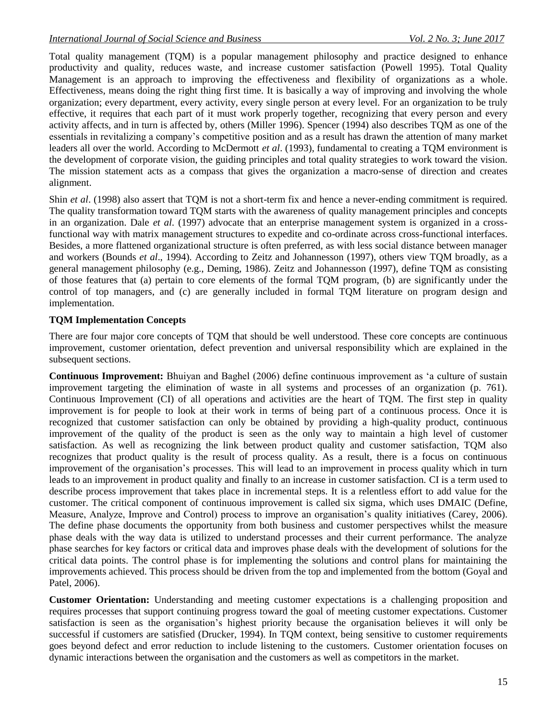Total quality management (TQM) is a popular management philosophy and practice designed to enhance productivity and quality, reduces waste, and increase customer satisfaction (Powell 1995). Total Quality Management is an approach to improving the effectiveness and flexibility of organizations as a whole. Effectiveness, means doing the right thing first time. It is basically a way of improving and involving the whole organization; every department, every activity, every single person at every level. For an organization to be truly effective, it requires that each part of it must work properly together, recognizing that every person and every activity affects, and in turn is affected by, others (Miller 1996). Spencer (1994) also describes TQM as one of the essentials in revitalizing a company's competitive position and as a result has drawn the attention of many market leaders all over the world. According to McDermott *et al*. (1993), fundamental to creating a TQM environment is the development of corporate vision, the guiding principles and total quality strategies to work toward the vision. The mission statement acts as a compass that gives the organization a macro-sense of direction and creates alignment.

Shin *et al.* (1998) also assert that TOM is not a short-term fix and hence a never-ending commitment is required. The quality transformation toward TQM starts with the awareness of quality management principles and concepts in an organization. Dale *et al*. (1997) advocate that an enterprise management system is organized in a crossfunctional way with matrix management structures to expedite and co-ordinate across cross-functional interfaces. Besides, a more flattened organizational structure is often preferred, as with less social distance between manager and workers (Bounds *et al*., 1994). According to Zeitz and Johannesson (1997), others view TQM broadly, as a general management philosophy (e.g., Deming, 1986). Zeitz and Johannesson (1997), define TQM as consisting of those features that (a) pertain to core elements of the formal TQM program, (b) are significantly under the control of top managers, and (c) are generally included in formal TQM literature on program design and implementation.

# **TQM Implementation Concepts**

There are four major core concepts of TQM that should be well understood. These core concepts are continuous improvement, customer orientation, defect prevention and universal responsibility which are explained in the subsequent sections.

**Continuous Improvement:** Bhuiyan and Baghel (2006) define continuous improvement as 'a culture of sustain improvement targeting the elimination of waste in all systems and processes of an organization (p. 761). Continuous Improvement (CI) of all operations and activities are the heart of TQM. The first step in quality improvement is for people to look at their work in terms of being part of a continuous process. Once it is recognized that customer satisfaction can only be obtained by providing a high-quality product, continuous improvement of the quality of the product is seen as the only way to maintain a high level of customer satisfaction. As well as recognizing the link between product quality and customer satisfaction, TQM also recognizes that product quality is the result of process quality. As a result, there is a focus on continuous improvement of the organisation's processes. This will lead to an improvement in process quality which in turn leads to an improvement in product quality and finally to an increase in customer satisfaction. CI is a term used to describe process improvement that takes place in incremental steps. It is a relentless effort to add value for the customer. The critical component of continuous improvement is called six sigma, which uses DMAIC (Define, Measure, Analyze, Improve and Control) process to improve an organisation's quality initiatives (Carey, 2006). The define phase documents the opportunity from both business and customer perspectives whilst the measure phase deals with the way data is utilized to understand processes and their current performance. The analyze phase searches for key factors or critical data and improves phase deals with the development of solutions for the critical data points. The control phase is for implementing the solutions and control plans for maintaining the improvements achieved. This process should be driven from the top and implemented from the bottom (Goyal and Patel, 2006).

**Customer Orientation:** Understanding and meeting customer expectations is a challenging proposition and requires processes that support continuing progress toward the goal of meeting customer expectations. Customer satisfaction is seen as the organisation's highest priority because the organisation believes it will only be successful if customers are satisfied (Drucker, 1994). In TQM context, being sensitive to customer requirements goes beyond defect and error reduction to include listening to the customers. Customer orientation focuses on dynamic interactions between the organisation and the customers as well as competitors in the market.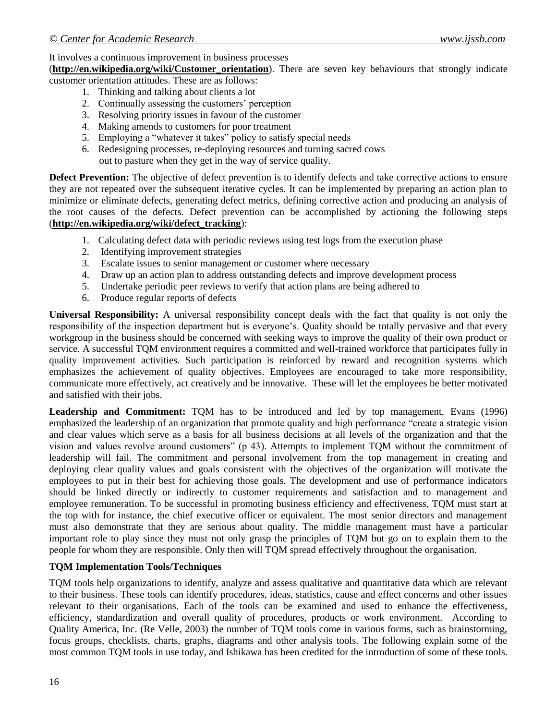# It involves a continuous improvement in business processes

(**[http://en.wikipedia.org/wiki/Customer\\_orientation](http://en.wikipedia.org/wiki/Customer_orientation)**). There are seven key behaviours that strongly indicate customer orientation attitudes. These are as follows:

- 1. Thinking and talking about clients a lot
- 2. Continually assessing the customers' perception
- 3. Resolving priority issues in favour of the customer
- 4. Making amends to customers for poor treatment
- 5. Employing a "whatever it takes" policy to satisfy special needs
- 6. Redesigning processes, re-deploying resources and turning sacred cows out to pasture when they get in the way of service quality.

**Defect Prevention:** The objective of defect prevention is to identify defects and take corrective actions to ensure they are not repeated over the subsequent iterative cycles. It can be implemented by preparing an action plan to minimize or eliminate defects, generating defect metrics, defining corrective action and producing an analysis of the root causes of the defects. Defect prevention can be accomplished by actioning the following steps (**[http://en.wikipedia.org/wiki/defect\\_tracking](http://en.wikipedia.org/wiki/defect_tracking)**):

- 1. Calculating defect data with periodic reviews using test logs from the execution phase
- 2. Identifying improvement strategies
- 3. Escalate issues to senior management or customer where necessary
- 4. Draw up an action plan to address outstanding defects and improve development process
- 5. Undertake periodic peer reviews to verify that action plans are being adhered to
- 6. Produce regular reports of defects

**Universal Responsibility:** A universal responsibility concept deals with the fact that quality is not only the responsibility of the inspection department but is everyone's. Quality should be totally pervasive and that every workgroup in the business should be concerned with seeking ways to improve the quality of their own product or service. A successful TQM environment requires a committed and well-trained workforce that participates fully in quality improvement activities. Such participation is reinforced by reward and recognition systems which emphasizes the achievement of quality objectives. Employees are encouraged to take more responsibility, communicate more effectively, act creatively and be innovative. These will let the employees be better motivated and satisfied with their jobs.

**Leadership and Commitment:** TQM has to be introduced and led by top management. Evans (1996) emphasized the leadership of an organization that promote quality and high performance "create a strategic vision and clear values which serve as a basis for all business decisions at all levels of the organization and that the vision and values revolve around customers" (p 43). Attempts to implement TQM without the commitment of leadership will fail. The commitment and personal involvement from the top management in creating and deploying clear quality values and goals consistent with the objectives of the organization will motivate the employees to put in their best for achieving those goals. The development and use of performance indicators should be linked directly or indirectly to customer requirements and satisfaction and to management and employee remuneration. To be successful in promoting business efficiency and effectiveness, TQM must start at the top with for instance, the chief executive officer or equivalent. The most senior directors and management must also demonstrate that they are serious about quality. The middle management must have a particular important role to play since they must not only grasp the principles of TQM but go on to explain them to the people for whom they are responsible. Only then will TQM spread effectively throughout the organisation.

# **TQM Implementation Tools/Techniques**

TQM tools help organizations to identify, analyze and assess qualitative and quantitative data which are relevant to their business. These tools can identify procedures, ideas, statistics, cause and effect concerns and other issues relevant to their organisations. Each of the tools can be examined and used to enhance the effectiveness, efficiency, standardization and overall quality of procedures, products or work environment. According to Quality America, Inc. (Re Velle, 2003) the number of TQM tools come in various forms, such as brainstorming, focus groups, checklists, charts, graphs, diagrams and other analysis tools. The following explain some of the most common TQM tools in use today, and Ishikawa has been credited for the introduction of some of these tools.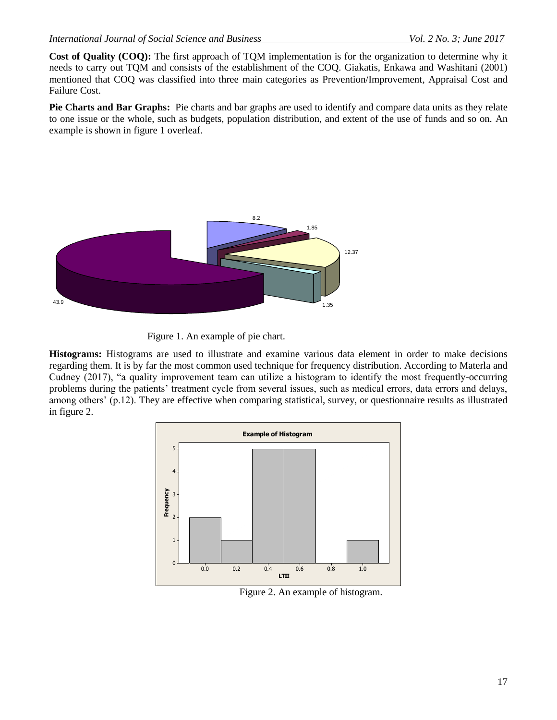**Cost of Quality (COQ):** The first approach of TQM implementation is for the organization to determine why it needs to carry out TQM and consists of the establishment of the COQ. Giakatis, Enkawa and Washitani (2001) mentioned that COQ was classified into three main categories as Prevention/Improvement, Appraisal Cost and Failure Cost.

**Pie Charts and Bar Graphs:** Pie charts and bar graphs are used to identify and compare data units as they relate to one issue or the whole, such as budgets, population distribution, and extent of the use of funds and so on. An example is shown in figure 1 overleaf.





**Histograms:** Histograms are used to illustrate and examine various data element in order to make decisions regarding them. It is by far the most common used technique for frequency distribution. According to Materla and Cudney (2017), "a quality improvement team can utilize a histogram to identify the most frequently-occurring problems during the patients' treatment cycle from several issues, such as medical errors, data errors and delays, among others' (p.12). They are effective when comparing statistical, survey, or questionnaire results as illustrated in figure 2.



Figure 2. An example of histogram.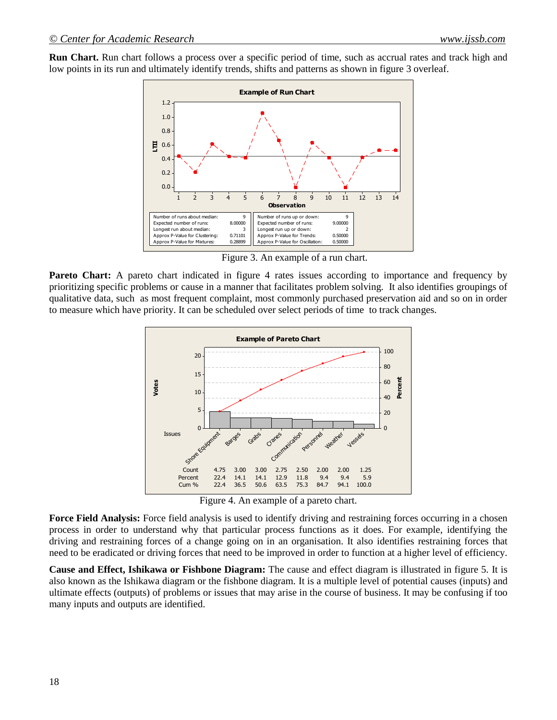**Run Chart.** Run chart follows a process over a specific period of time, such as accrual rates and track high and low points in its run and ultimately identify trends, shifts and patterns as shown in figure 3 overleaf.



Figure 3. An example of a run chart.

**Pareto Chart:** A pareto chart indicated in figure 4 rates issues according to importance and frequency by prioritizing specific problems or cause in a manner that facilitates problem solving. It also identifies groupings of qualitative data, such as most frequent complaint, most commonly purchased preservation aid and so on in order to measure which have priority. It can be scheduled over select periods of time to track changes.



Figure 4. An example of a pareto chart.

Force Field Analysis: Force field analysis is used to identify driving and restraining forces occurring in a chosen process in order to understand why that particular process functions as it does. For example, identifying the driving and restraining forces of a change going on in an organisation. It also identifies restraining forces that need to be eradicated or driving forces that need to be improved in order to function at a higher level of efficiency.

**Cause and Effect, Ishikawa or Fishbone Diagram:** The cause and effect diagram is illustrated in figure 5. It is also known as the Ishikawa diagram or the fishbone diagram. It is a multiple level of potential causes (inputs) and ultimate effects (outputs) of problems or issues that may arise in the course of business. It may be confusing if too many inputs and outputs are identified.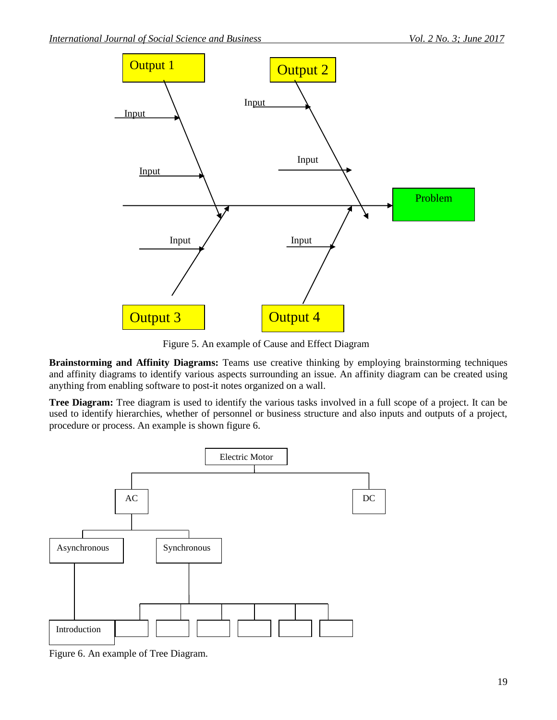

Figure 5. An example of Cause and Effect Diagram

**Brainstorming and Affinity Diagrams:** Teams use creative thinking by employing brainstorming techniques and affinity diagrams to identify various aspects surrounding an issue. An affinity diagram can be created using anything from enabling software to post-it notes organized on a wall.

**Tree Diagram:** Tree diagram is used to identify the various tasks involved in a full scope of a project. It can be used to identify hierarchies, whether of personnel or business structure and also inputs and outputs of a project, procedure or process. An example is shown figure 6.



Figure 6. An example of Tree Diagram.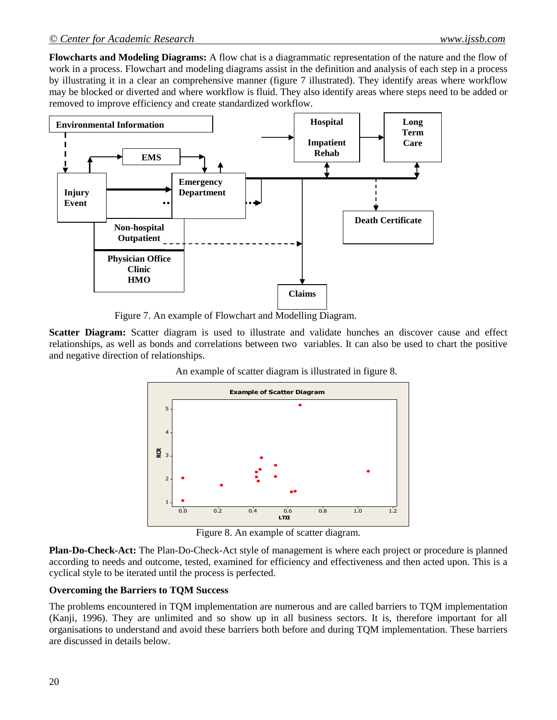**Flowcharts and Modeling Diagrams:** A flow chat is a diagrammatic representation of the nature and the flow of work in a process. Flowchart and modeling diagrams assist in the definition and analysis of each step in a process by illustrating it in a clear an comprehensive manner (figure 7 illustrated). They identify areas where workflow may be blocked or diverted and where workflow is fluid. They also identify areas where steps need to be added or removed to improve efficiency and create standardized workflow.



Figure 7. An example of Flowchart and Modelling Diagram.

**Scatter Diagram:** Scatter diagram is used to illustrate and validate hunches an discover cause and effect relationships, as well as bonds and correlations between two variables. It can also be used to chart the positive and negative direction of relationships.



An example of scatter diagram is illustrated in figure 8.

Figure 8. An example of scatter diagram.

**Plan-Do-Check-Act:** The Plan-Do-Check-Act style of management is where each project or procedure is planned according to needs and outcome, tested, examined for efficiency and effectiveness and then acted upon. This is a cyclical style to be iterated until the process is perfected.

#### **Overcoming the Barriers to TQM Success**

The problems encountered in TQM implementation are numerous and are called barriers to TQM implementation (Kanji, 1996). They are unlimited and so show up in all business sectors. It is, therefore important for all organisations to understand and avoid these barriers both before and during TQM implementation. These barriers are discussed in details below.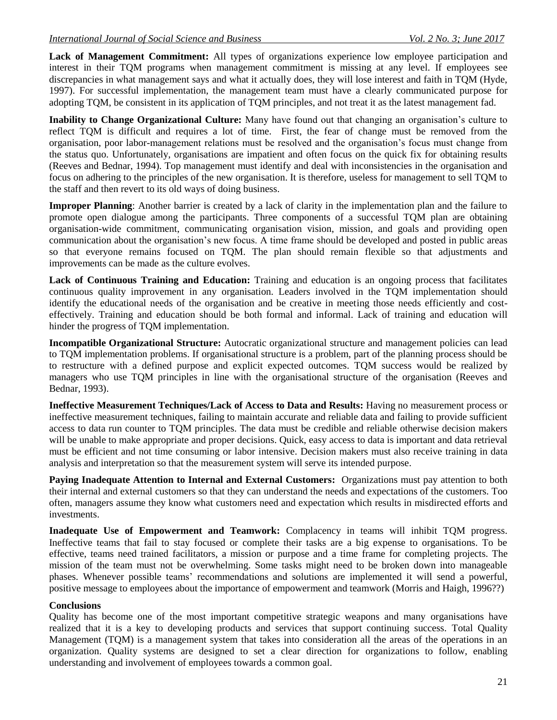**Lack of Management Commitment:** All types of organizations experience low employee participation and interest in their TQM programs when management commitment is missing at any level. If employees see discrepancies in what management says and what it actually does, they will lose interest and faith in TQM (Hyde, 1997). For successful implementation, the management team must have a clearly communicated purpose for adopting TQM, be consistent in its application of TQM principles, and not treat it as the latest management fad.

**Inability to Change Organizational Culture:** Many have found out that changing an organisation's culture to reflect TQM is difficult and requires a lot of time. First, the fear of change must be removed from the organisation, poor labor-management relations must be resolved and the organisation's focus must change from the status quo. Unfortunately, organisations are impatient and often focus on the quick fix for obtaining results (Reeves and Bednar, 1994). Top management must identify and deal with inconsistencies in the organisation and focus on adhering to the principles of the new organisation. It is therefore, useless for management to sell TQM to the staff and then revert to its old ways of doing business.

**Improper Planning**: Another barrier is created by a lack of clarity in the implementation plan and the failure to promote open dialogue among the participants. Three components of a successful TQM plan are obtaining organisation-wide commitment, communicating organisation vision, mission, and goals and providing open communication about the organisation's new focus. A time frame should be developed and posted in public areas so that everyone remains focused on TQM. The plan should remain flexible so that adjustments and improvements can be made as the culture evolves.

Lack of Continuous Training and Education: Training and education is an ongoing process that facilitates continuous quality improvement in any organisation. Leaders involved in the TQM implementation should identify the educational needs of the organisation and be creative in meeting those needs efficiently and costeffectively. Training and education should be both formal and informal. Lack of training and education will hinder the progress of TQM implementation.

**Incompatible Organizational Structure:** Autocratic organizational structure and management policies can lead to TQM implementation problems. If organisational structure is a problem, part of the planning process should be to restructure with a defined purpose and explicit expected outcomes. TQM success would be realized by managers who use TQM principles in line with the organisational structure of the organisation (Reeves and Bednar, 1993).

**Ineffective Measurement Techniques/Lack of Access to Data and Results:** Having no measurement process or ineffective measurement techniques, failing to maintain accurate and reliable data and failing to provide sufficient access to data run counter to TQM principles. The data must be credible and reliable otherwise decision makers will be unable to make appropriate and proper decisions. Quick, easy access to data is important and data retrieval must be efficient and not time consuming or labor intensive. Decision makers must also receive training in data analysis and interpretation so that the measurement system will serve its intended purpose.

**Paying Inadequate Attention to Internal and External Customers:** Organizations must pay attention to both their internal and external customers so that they can understand the needs and expectations of the customers. Too often, managers assume they know what customers need and expectation which results in misdirected efforts and investments.

**Inadequate Use of Empowerment and Teamwork:** Complacency in teams will inhibit TQM progress. Ineffective teams that fail to stay focused or complete their tasks are a big expense to organisations. To be effective, teams need trained facilitators, a mission or purpose and a time frame for completing projects. The mission of the team must not be overwhelming. Some tasks might need to be broken down into manageable phases. Whenever possible teams' recommendations and solutions are implemented it will send a powerful, positive message to employees about the importance of empowerment and teamwork (Morris and Haigh, 1996??)

# **Conclusions**

Quality has become one of the most important competitive strategic weapons and many organisations have realized that it is a key to developing products and services that support continuing success. Total Quality Management (TQM) is a management system that takes into consideration all the areas of the operations in an organization. Quality systems are designed to set a clear direction for organizations to follow, enabling understanding and involvement of employees towards a common goal.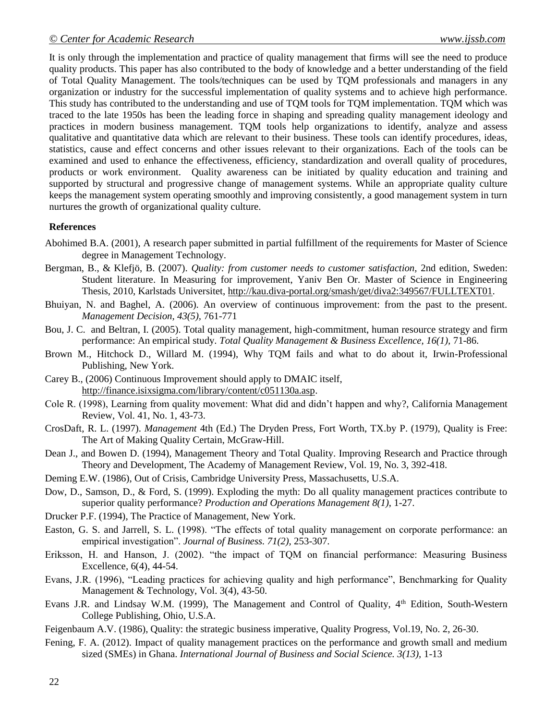It is only through the implementation and practice of quality management that firms will see the need to produce quality products. This paper has also contributed to the body of knowledge and a better understanding of the field of Total Quality Management. The tools/techniques can be used by TQM professionals and managers in any organization or industry for the successful implementation of quality systems and to achieve high performance. This study has contributed to the understanding and use of TQM tools for TQM implementation. TQM which was traced to the late 1950s has been the leading force in shaping and spreading quality management ideology and practices in modern business management. TQM tools help organizations to identify, analyze and assess qualitative and quantitative data which are relevant to their business. These tools can identify procedures, ideas, statistics, cause and effect concerns and other issues relevant to their organizations. Each of the tools can be examined and used to enhance the effectiveness, efficiency, standardization and overall quality of procedures, products or work environment. Quality awareness can be initiated by quality education and training and supported by structural and progressive change of management systems. While an appropriate quality culture keeps the management system operating smoothly and improving consistently, a good management system in turn nurtures the growth of organizational quality culture.

#### **References**

- Abohimed B.A. (2001), A research paper submitted in partial fulfillment of the requirements for Master of Science degree in Management Technology.
- Bergman, B., & Klefjö, B. (2007). *Quality: from customer needs to customer satisfaction,* 2nd edition, Sweden: Student literature. In Measuring for improvement, Yaniv Ben Or. Master of Science in Engineering Thesis, 2010, Karlstads Universitet, [http://kau.diva-portal.org/smash/get/diva2:349567/FULLTEXT01.](http://kau.diva-portal.org/smash/get/diva2:349567/FULLTEXT01)
- Bhuiyan, N. and Baghel, A. (2006). An overview of continuous improvement: from the past to the present. *Management Decision, 43(5),* 761-771
- Bou, J. C. and Beltran, I. (2005). Total quality management, high-commitment, human resource strategy and firm performance: An empirical study. *Total Quality Management & Business Excellence, 16(1),* 71-86.
- Brown M., Hitchock D., Willard M. (1994), Why TQM fails and what to do about it, Irwin-Professional Publishing, New York.
- Carey B., (2006) Continuous Improvement should apply to DMAIC itself, [http://finance.isixsigma.com/library/content/c051130a.asp.](http://finance.isixsigma.com/library/content/c051130a.asp)
- Cole R. (1998), Learning from quality movement: What did and didn't happen and why?, California Management Review, Vol. 41, No. 1, 43-73.
- CrosDaft, R. L. (1997). *Management* 4th (Ed.) The Dryden Press, Fort Worth, TX.by P. (1979), Quality is Free: The Art of Making Quality Certain, McGraw-Hill.
- Dean J., and Bowen D. (1994), Management Theory and Total Quality. Improving Research and Practice through Theory and Development, The Academy of Management Review, Vol. 19, No. 3, 392-418.
- Deming E.W. (1986), Out of Crisis, Cambridge University Press, Massachusetts, U.S.A.
- Dow, D., Samson, D., & Ford, S. (1999). Exploding the myth: Do all quality management practices contribute to superior quality performance? *Production and Operations Management 8(1)*, 1-27.
- Drucker P.F. (1994), The Practice of Management, New York.
- Easton, G. S. and Jarrell, S. L. (1998). "The effects of total quality management on corporate performance: an empirical investigation". *Journal of Business. 71(2),* 253-307.
- Eriksson, H. and Hanson, J. (2002). "the impact of TQM on financial performance: Measuring Business Excellence, 6(4), 44-54.
- Evans, J.R. (1996), "Leading practices for achieving quality and high performance", Benchmarking for Quality Management & Technology, Vol. 3(4), 43-50.
- Evans J.R. and Lindsay W.M. (1999), The Management and Control of Quality, 4<sup>th</sup> Edition, South-Western College Publishing, Ohio, U.S.A.
- Feigenbaum A.V. (1986), Quality: the strategic business imperative, Quality Progress, Vol.19, No. 2, 26-30.
- Fening, F. A. (2012). Impact of quality management practices on the performance and growth small and medium sized (SMEs) in Ghana. *International Journal of Business and Social Science. 3(13),* 1-13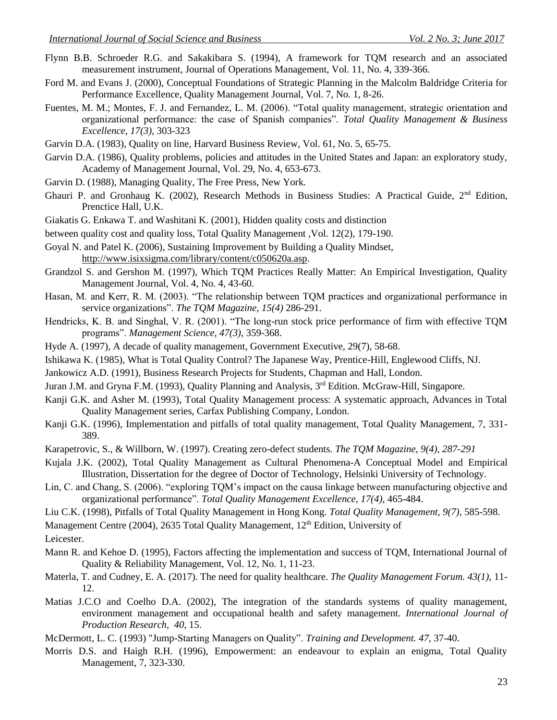- Flynn B.B. Schroeder R.G. and Sakakibara S. (1994), A framework for TQM research and an associated measurement instrument, Journal of Operations Management, Vol. 11, No. 4, 339-366.
- Ford M. and Evans J. (2000), Conceptual Foundations of Strategic Planning in the Malcolm Baldridge Criteria for Performance Excellence, Quality Management Journal, Vol. 7, No. 1, 8-26.
- Fuentes, M. M.; Montes, F. J. and Fernandez, L. M. (2006). "Total quality management, strategic orientation and organizational performance: the case of Spanish companies". *Total Quality Management & Business Excellence, 17(3),* 303-323
- Garvin D.A. (1983), Quality on line, Harvard Business Review, Vol. 61, No. 5, 65-75.
- Garvin D.A. (1986), Quality problems, policies and attitudes in the United States and Japan: an exploratory study, Academy of Management Journal, Vol. 29, No. 4, 653-673.
- Garvin D. (1988), Managing Quality, The Free Press, New York.
- Ghauri P. and Gronhaug K. (2002), Research Methods in Business Studies: A Practical Guide, 2<sup>nd</sup> Edition, Prenctice Hall, U.K.
- Giakatis G. Enkawa T. and Washitani K. (2001), Hidden quality costs and distinction
- between quality cost and quality loss, Total Quality Management ,Vol. 12(2), 179-190.
- Goyal N. and Patel K. (2006), Sustaining Improvement by Building a Quality Mindset, [http://www.isixsigma.com/library/content/c050620a.asp.](http://www.isixsigma.com/library/content/c050620a.asp)
- Grandzol S. and Gershon M. (1997), Which TQM Practices Really Matter: An Empirical Investigation, Quality Management Journal, Vol. 4, No. 4, 43-60.
- Hasan, M. and Kerr, R. M. (2003). "The relationship between TQM practices and organizational performance in service organizations". *The TQM Magazine, 15(4)* 286-291.
- Hendricks, K. B. and Singhal, V. R. (2001). "The long-run stock price performance of firm with effective TQM programs". *Management Science, 47(3),* 359-368.
- Hyde A. (1997), A decade of quality management, Government Executive, 29(7), 58-68.
- Ishikawa K. (1985), What is Total Quality Control? The Japanese Way, Prentice-Hill, Englewood Cliffs, NJ.
- Jankowicz A.D. (1991), Business Research Projects for Students, Chapman and Hall, London.
- Juran J.M. and Gryna F.M. (1993), Quality Planning and Analysis, 3<sup>rd</sup> Edition. McGraw-Hill, Singapore.
- Kanji G.K. and Asher M. (1993), Total Quality Management process: A systematic approach, Advances in Total Quality Management series, Carfax Publishing Company, London.
- Kanji G.K. (1996), Implementation and pitfalls of total quality management, Total Quality Management, 7, 331- 389.
- Karapetrovic, S., & Willborn, W. (1997). Creating zero-defect students. *The TQM Magazine, 9(4), 287-291*
- Kujala J.K. (2002), Total Quality Management as Cultural Phenomena-A Conceptual Model and Empirical Illustration, Dissertation for the degree of Doctor of Technology, Helsinki University of Technology.
- Lin, C. and Chang, S. (2006). "exploring TQM's impact on the causa linkage between manufacturing objective and organizational performance". *Total Quality Management Excellence, 17(4),* 465-484.
- Liu C.K. (1998), Pitfalls of Total Quality Management in Hong Kong. *Total Quality Management, 9(7),* 585-598.

Management Centre (2004), 2635 Total Quality Management,  $12<sup>th</sup>$  Edition, University of

Leicester.

- Mann R. and Kehoe D. (1995), Factors affecting the implementation and success of TQM, International Journal of Quality & Reliability Management, Vol. 12, No. 1, 11-23.
- Materla, T. and Cudney, E. A. (2017). The need for quality healthcare. *The Quality Management Forum. 43(1),* 11- 12.
- Matias J.C.O and Coelho D.A. (2002), The integration of the standards systems of quality management, environment management and occupational health and safety management. *International Journal of Production Research, 40*, 15.
- McDermott, L. C. (1993) "Jump-Starting Managers on Quality". *Training and Development. 47,* 37-40.
- Morris D.S. and Haigh R.H. (1996), Empowerment: an endeavour to explain an enigma, Total Quality Management, 7, 323-330.